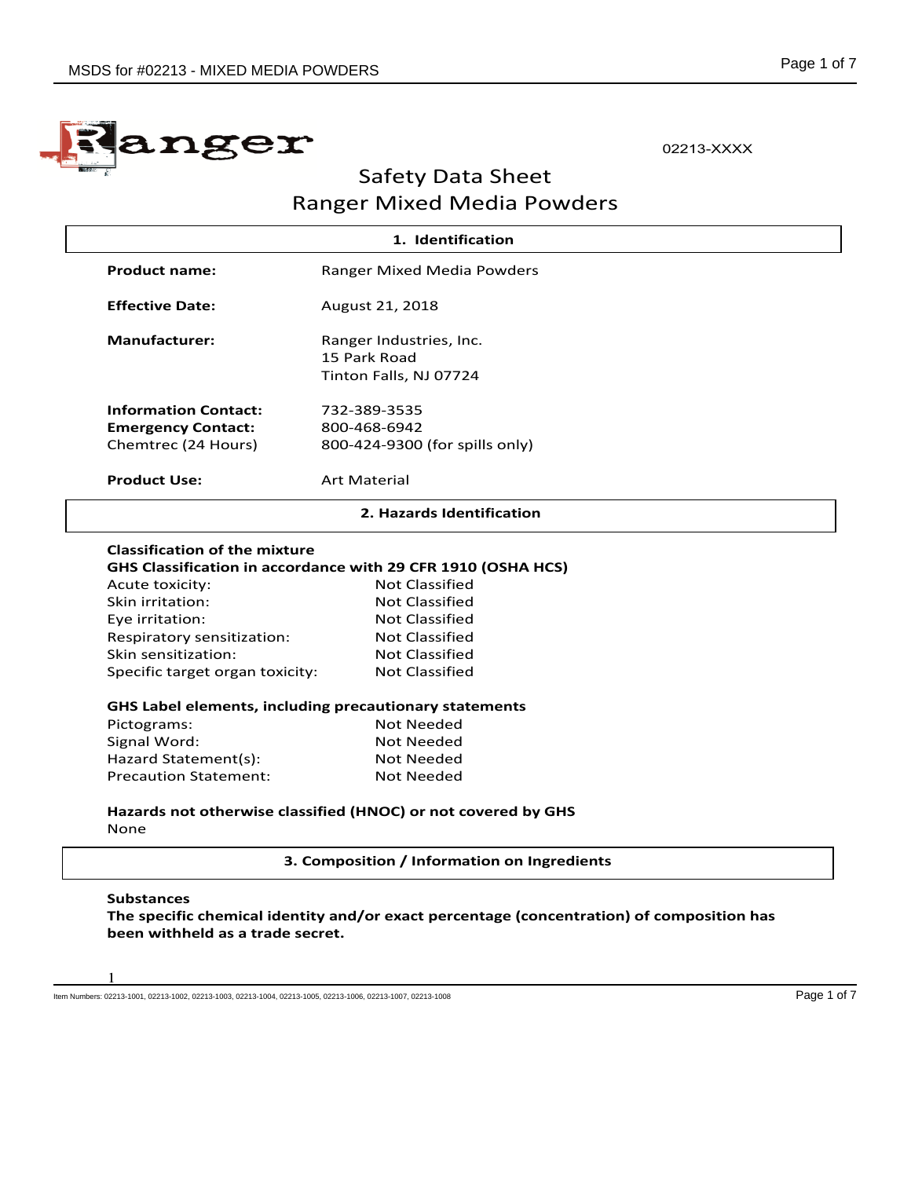

02213-XXXX

# Safety Data Sheet Ranger Mixed Media Powders

| <b>Product name:</b><br><b>Effective Date:</b><br><b>Manufacturer:</b> | Ranger Mixed Media Powders<br>August 21, 2018                                                                                           |
|------------------------------------------------------------------------|-----------------------------------------------------------------------------------------------------------------------------------------|
|                                                                        |                                                                                                                                         |
|                                                                        |                                                                                                                                         |
|                                                                        | Ranger Industries, Inc.                                                                                                                 |
|                                                                        | 15 Park Road                                                                                                                            |
|                                                                        | Tinton Falls, NJ 07724                                                                                                                  |
| <b>Information Contact:</b>                                            | 732-389-3535                                                                                                                            |
| <b>Emergency Contact:</b>                                              | 800-468-6942                                                                                                                            |
| Chemtrec (24 Hours)                                                    | 800-424-9300 (for spills only)                                                                                                          |
| <b>Product Use:</b>                                                    | <b>Art Material</b>                                                                                                                     |
|                                                                        | 2. Hazards Identification                                                                                                               |
| Acute toxicity:<br>Skin irritation:<br>Eye irritation:                 | GHS Classification in accordance with 29 CFR 1910 (OSHA HCS)<br><b>Not Classified</b><br><b>Not Classified</b><br><b>Not Classified</b> |
| Respiratory sensitization:                                             | <b>Not Classified</b>                                                                                                                   |
| Skin sensitization:                                                    | <b>Not Classified</b>                                                                                                                   |
| Specific target organ toxicity:                                        | Not Classified                                                                                                                          |
|                                                                        | GHS Label elements, including precautionary statements                                                                                  |
| Pictograms:                                                            | <b>Not Needed</b>                                                                                                                       |
| Signal Word:                                                           | <b>Not Needed</b>                                                                                                                       |
| Hazard Statement(s):                                                   | Not Needed                                                                                                                              |
| <b>Precaution Statement:</b>                                           | <b>Not Needed</b>                                                                                                                       |
| None                                                                   | Hazards not otherwise classified (HNOC) or not covered by GHS                                                                           |
|                                                                        |                                                                                                                                         |
|                                                                        | 3. Composition / Information on Ingredients                                                                                             |

**The specific chemical identity and/or exact percentage (concentration) of composition has been withheld as a trade secret.**

Item Numbers: 02213-1001, 02213-1002, 02213-1003, 02213-1004, 02213-1005, 02213-1006, 02213-1007, 02213-1008

1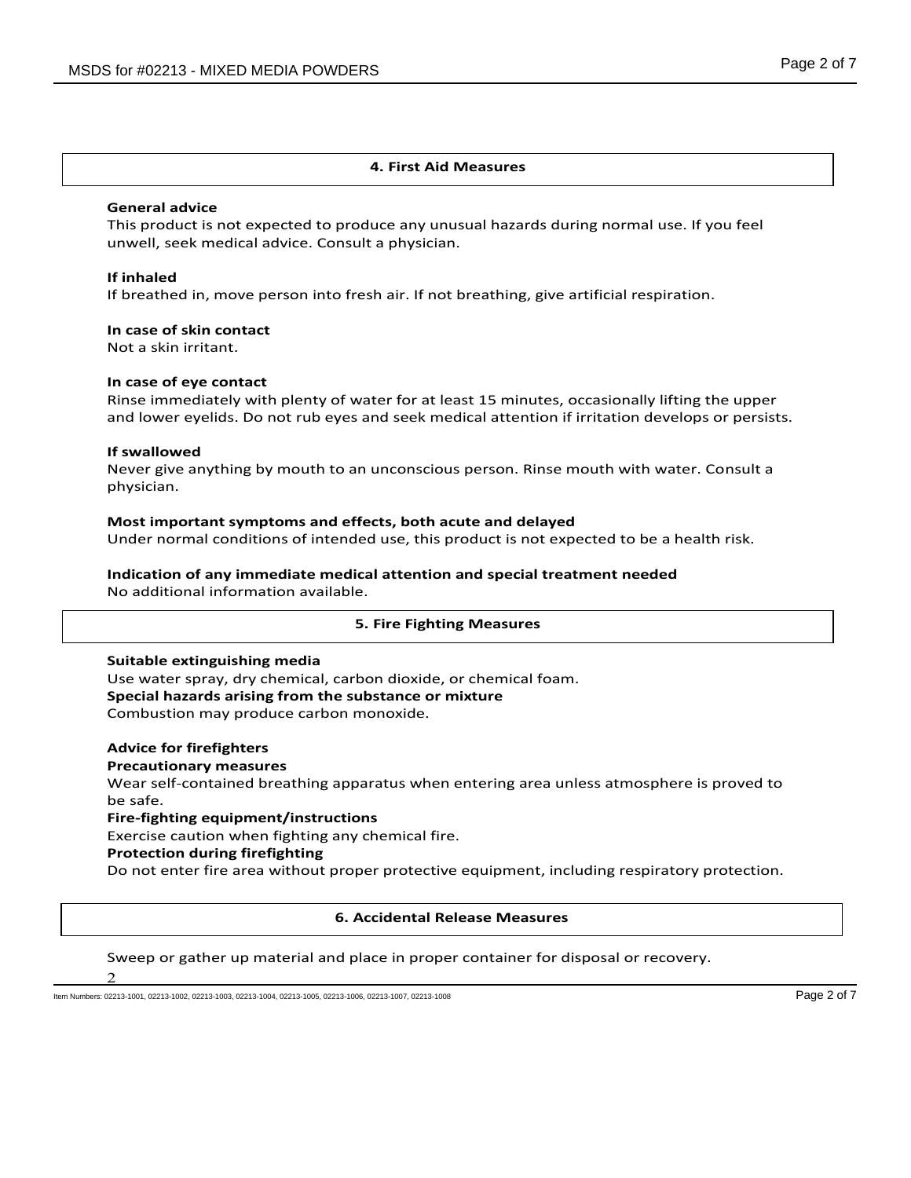### **4. First Aid Measures**

#### **General advice**

This product is not expected to produce any unusual hazards during normal use. If you feel unwell, seek medical advice. Consult a physician.

#### **If inhaled**

If breathed in, move person into fresh air. If not breathing, give artificial respiration.

#### **In case of skin contact**

Not a skin irritant.

### **In case of eye contact**

Rinse immediately with plenty of water for at least 15 minutes, occasionally lifting the upper and lower eyelids. Do not rub eyes and seek medical attention if irritation develops or persists.

#### **If swallowed**

Never give anything by mouth to an unconscious person. Rinse mouth with water. Consult a physician.

#### **Most important symptoms and effects, both acute and delayed**

Under normal conditions of intended use, this product is not expected to be a health risk.

#### **Indication of any immediate medical attention and special treatment needed** No additional information available.

#### **5. Fire Fighting Measures**

#### **Suitable extinguishing media**

Use water spray, dry chemical, carbon dioxide, or chemical foam. **Special hazards arising from the substance or mixture** Combustion may produce carbon monoxide.

#### **Advice for firefighters**

#### **Precautionary measures**

Wear self-contained breathing apparatus when entering area unless atmosphere is proved to be safe.

#### **Fire-fighting equipment/instructions**

Exercise caution when fighting any chemical fire.

# **Protection during firefighting**

Do not enter fire area without proper protective equipment, including respiratory protection.

#### **6. Accidental Release Measures**

## Sweep or gather up material and place in proper container for disposal or recovery.

 $\mathfrak{D}$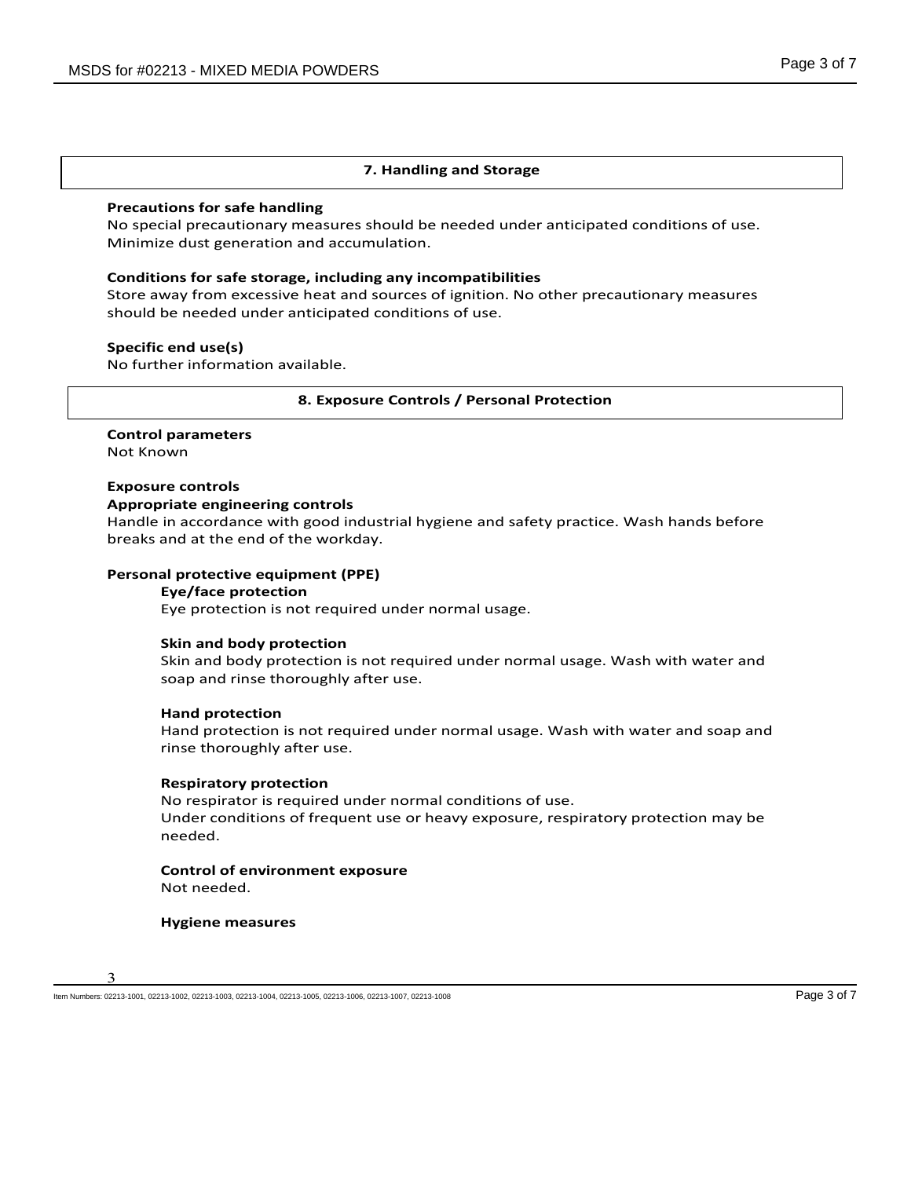### **7. Handling and Storage**

# **Precautions for safe handling**

No special precautionary measures should be needed under anticipated conditions of use. Minimize dust generation and accumulation.

#### **Conditions for safe storage, including any incompatibilities**

Store away from excessive heat and sources of ignition. No other precautionary measures should be needed under anticipated conditions of use.

# **Specific end use(s)**

No further information available.

#### **8. Exposure Controls / Personal Protection**

# **Control parameters**

Not Known

# **Exposure controls**

#### **Appropriate engineering controls**

Handle in accordance with good industrial hygiene and safety practice. Wash hands before breaks and at the end of the workday.

#### **Personal protective equipment (PPE)**

#### **Eye/face protection**

Eye protection is not required under normal usage.

#### **Skin and body protection**

Skin and body protection is not required under normal usage. Wash with water and soap and rinse thoroughly after use.

#### **Hand protection**

Hand protection is not required under normal usage. Wash with water and soap and rinse thoroughly after use.

#### **Respiratory protection**

No respirator is required under normal conditions of use. Under conditions of frequent use or heavy exposure, respiratory protection may be needed.

#### **Control of environment exposure** Not needed.

**Hygiene measures**



Item Numbers: 02213-1001, 02213-1002, 02213-1003, 02213-1004, 02213-1006, 02213-1006, 02213-1007, 02213-1008 Page 3 of 7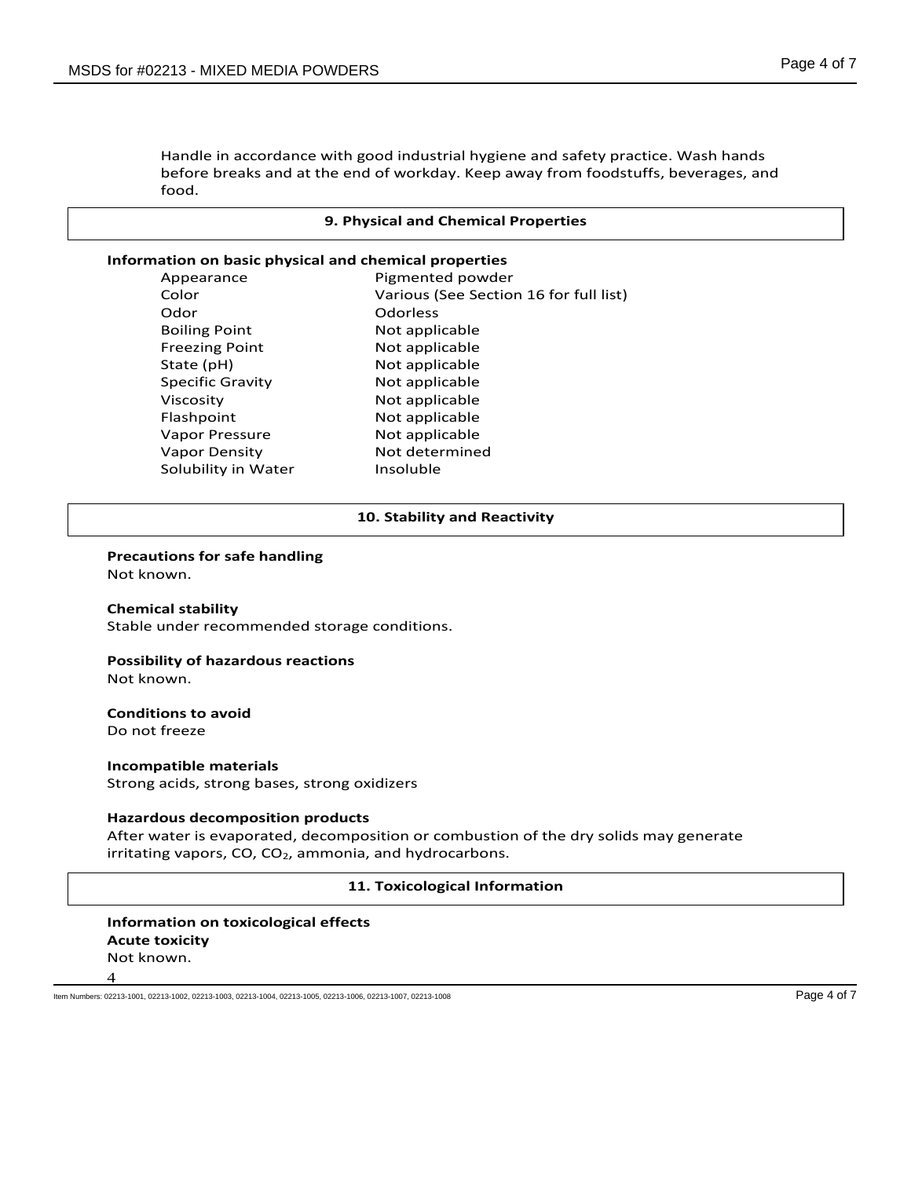Handle in accordance with good industrial hygiene and safety practice. Wash hands before breaks and at the end of workday. Keep away from foodstuffs, beverages, and food.

#### **9. Physical and Chemical Properties**

#### **Information on basic physical and chemical properties**

| Appearance              | Pigmented powder                       |
|-------------------------|----------------------------------------|
| Color                   | Various (See Section 16 for full list) |
| Odor                    | Odorless                               |
| <b>Boiling Point</b>    | Not applicable                         |
| <b>Freezing Point</b>   | Not applicable                         |
| State (pH)              | Not applicable                         |
| <b>Specific Gravity</b> | Not applicable                         |
| Viscosity               | Not applicable                         |
| Flashpoint              | Not applicable                         |
| Vapor Pressure          | Not applicable                         |
| <b>Vapor Density</b>    | Not determined                         |
| Solubility in Water     | Insoluble                              |
|                         |                                        |

#### **10. Stability and Reactivity**

#### **Precautions for safe handling**

Not known.

**Chemical stability** Stable under recommended storage conditions.

# **Possibility of hazardous reactions**

Not known.

#### **Conditions to avoid** Do not freeze

**Incompatible materials** Strong acids, strong bases, strong oxidizers

#### **Hazardous decomposition products**

After water is evaporated, decomposition or combustion of the dry solids may generate irritating vapors,  $CO$ ,  $CO<sub>2</sub>$ , ammonia, and hydrocarbons.

#### **11. Toxicological Information**

# **Information on toxicological effects Acute toxicity** Not known.

4

Item Numbers: 02213-1001, 02213-1002, 02213-1003, 02213-1004, 02213-1005, 02213-1006, 02213-1007, 02213-1008 Page 4 of 7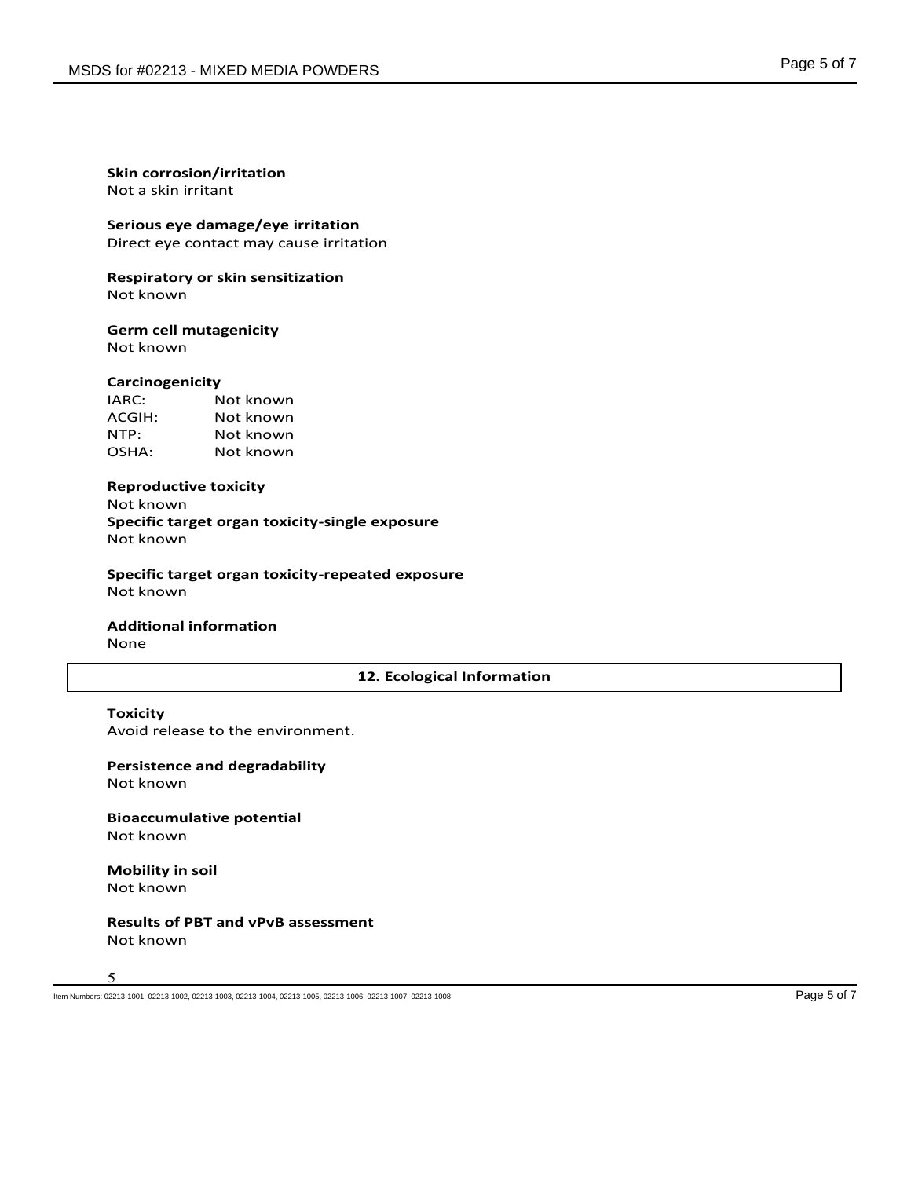Not a skin irritant

**Serious eye damage/eye irritation**

Direct eye contact may cause irritation

**Respiratory or skin sensitization** Not known

# **Germ cell mutagenicity**

Not known

#### **Carcinogenicity**

| IARC:  | Not known |
|--------|-----------|
| ACGIH: | Not known |
| NTP:   | Not known |
| OSHA:  | Not known |

#### **Reproductive toxicity**

Not known **Specific target organ toxicity-single exposure** Not known

**Specific target organ toxicity-repeated exposure** Not known

**Additional information** None

# **12. Ecological Information**

#### **Toxicity**

Avoid release to the environment.

**Persistence and degradability** Not known

**Bioaccumulative potential** Not known

**Mobility in soil** Not known

# **Results of PBT and vPvB assessment** Not known

5

Item Numbers: 02213-1001, 02213-1002, 02213-1003, 02213-1004, 02213-1005, 02213-1006, 02213-1007, 02213-1008 Page 5 of 7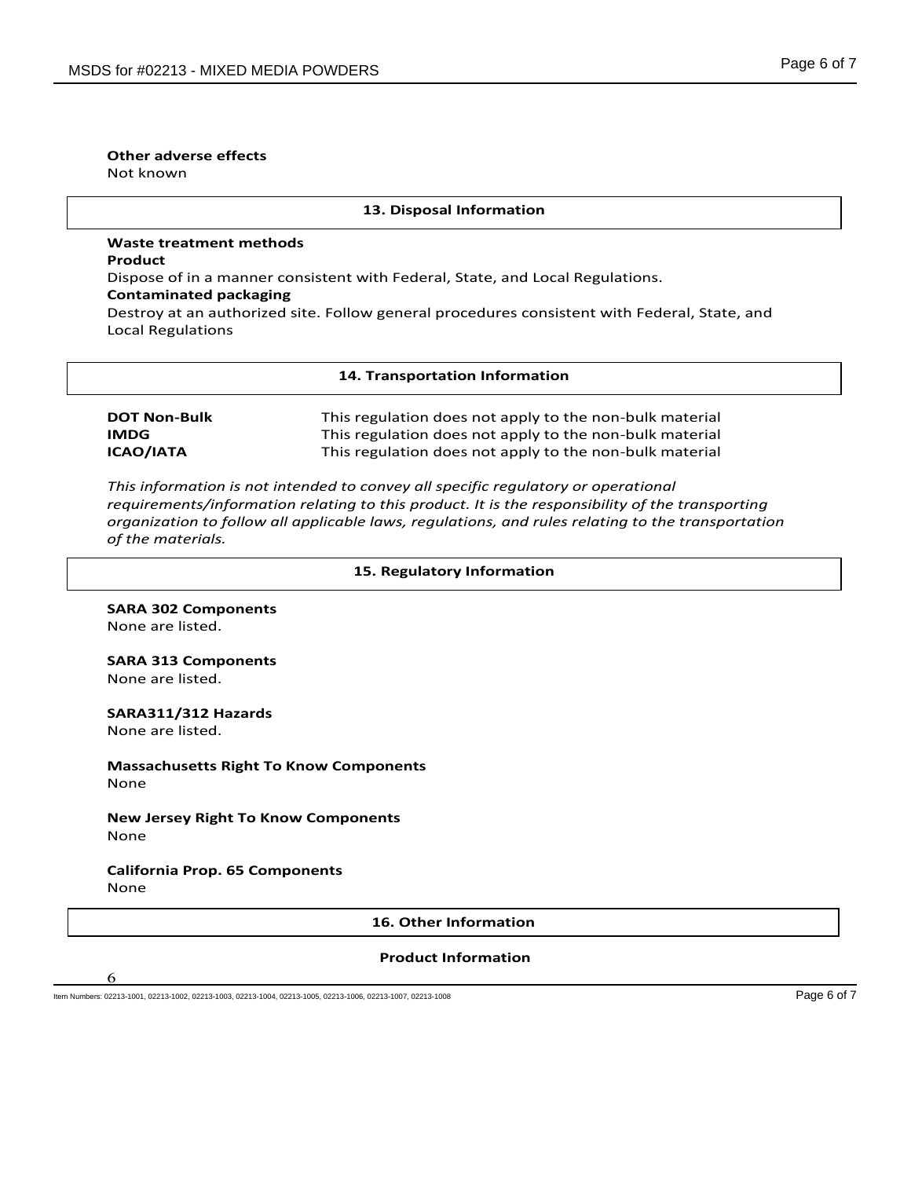# **Other adverse effects**

Not known

#### **13. Disposal Information**

# **Waste treatment methods Product** Dispose of in a manner consistent with Federal, State, and Local Regulations. **Contaminated packaging** Destroy at an authorized site. Follow general procedures consistent with Federal, State, and Local Regulations

#### **14. Transportation Information**

**DOT Non-Bulk** This regulation does not apply to the non-bulk material **IMDG** This regulation does not apply to the non-bulk material **ICAO/IATA** This regulation does not apply to the non-bulk material

*This information is not intended to convey all specific regulatory or operational requirements/information relating to this product. It is the responsibility of the transporting organization to follow all applicable laws, regulations, and rules relating to the transportation of the materials.* 

#### **15. Regulatory Information**

**SARA 302 Components** None are listed.

#### **SARA 313 Components** None are listed.

**SARA311/312 Hazards**

None are listed.

6

**Massachusetts Right To Know Components** None

# **New Jersey Right To Know Components** None

# **California Prop. 65 Components** None

#### **16. Other Information**

# **Product Information**